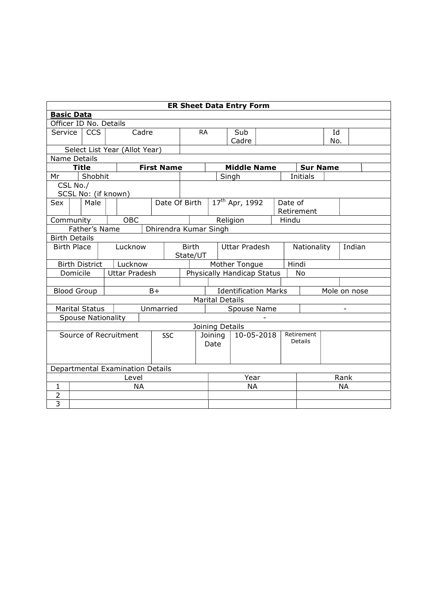| <b>ER Sheet Data Entry Form</b>                                                            |                      |                           |  |                                  |           |               |                                      |                                                                       |      |                            |             |         |                 |  |           |  |
|--------------------------------------------------------------------------------------------|----------------------|---------------------------|--|----------------------------------|-----------|---------------|--------------------------------------|-----------------------------------------------------------------------|------|----------------------------|-------------|---------|-----------------|--|-----------|--|
|                                                                                            | <b>Basic Data</b>    |                           |  |                                  |           |               |                                      |                                                                       |      |                            |             |         |                 |  |           |  |
| Officer ID No. Details                                                                     |                      |                           |  |                                  |           |               |                                      |                                                                       |      |                            |             |         |                 |  |           |  |
| Service                                                                                    |                      | <b>CCS</b>                |  |                                  | Cadre     |               |                                      | <b>RA</b><br>Sub                                                      |      |                            |             |         | Id              |  |           |  |
|                                                                                            |                      |                           |  |                                  |           |               |                                      | Cadre<br>No.                                                          |      |                            |             |         |                 |  |           |  |
|                                                                                            |                      |                           |  | Select List Year (Allot Year)    |           |               |                                      |                                                                       |      |                            |             |         |                 |  |           |  |
| Name Details<br><b>First Name</b><br><b>Title</b><br><b>Middle Name</b><br><b>Sur Name</b> |                      |                           |  |                                  |           |               |                                      |                                                                       |      |                            |             |         |                 |  |           |  |
| Mr                                                                                         |                      | Shobhit                   |  |                                  |           |               |                                      |                                                                       |      | Singh                      |             |         | <b>Initials</b> |  |           |  |
|                                                                                            | CSL No./             |                           |  |                                  |           |               |                                      |                                                                       |      |                            |             |         |                 |  |           |  |
|                                                                                            |                      |                           |  | SCSL No: (if known)              |           |               |                                      |                                                                       |      |                            |             |         |                 |  |           |  |
| Sex                                                                                        |                      | Male                      |  |                                  |           | Date Of Birth |                                      |                                                                       |      | 17 <sup>th</sup> Apr, 1992 |             | Date of |                 |  |           |  |
|                                                                                            |                      |                           |  |                                  |           |               |                                      |                                                                       |      |                            |             |         | Retirement      |  |           |  |
| Community                                                                                  |                      |                           |  | OBC                              |           |               |                                      |                                                                       |      | Religion                   |             | Hindu   |                 |  |           |  |
| Father's Name<br>Dhirendra Kumar Singh                                                     |                      |                           |  |                                  |           |               |                                      |                                                                       |      |                            |             |         |                 |  |           |  |
|                                                                                            | <b>Birth Details</b> |                           |  |                                  |           |               |                                      |                                                                       |      |                            |             |         |                 |  |           |  |
| <b>Birth Place</b>                                                                         |                      |                           |  | Lucknow                          |           |               | <b>Birth</b><br><b>Uttar Pradesh</b> |                                                                       |      |                            | Nationality |         | Indian          |  |           |  |
|                                                                                            |                      |                           |  |                                  |           |               | State/UT                             |                                                                       |      |                            |             |         |                 |  |           |  |
|                                                                                            |                      | <b>Birth District</b>     |  | Lucknow                          |           |               |                                      | Hindi<br>Mother Tongue                                                |      |                            |             |         |                 |  |           |  |
|                                                                                            | Domicile             |                           |  | <b>Uttar Pradesh</b>             |           |               |                                      | Physically Handicap Status<br>No                                      |      |                            |             |         |                 |  |           |  |
|                                                                                            |                      |                           |  |                                  |           |               |                                      |                                                                       |      |                            |             |         |                 |  |           |  |
|                                                                                            |                      | <b>Blood Group</b>        |  |                                  | $B+$      |               |                                      | <b>Identification Marks</b><br>Mole on nose<br><b>Marital Details</b> |      |                            |             |         |                 |  |           |  |
|                                                                                            |                      | <b>Marital Status</b>     |  |                                  |           | Unmarried     |                                      |                                                                       |      |                            |             |         |                 |  |           |  |
|                                                                                            |                      | <b>Spouse Nationality</b> |  |                                  |           |               |                                      | Spouse Name                                                           |      |                            |             |         |                 |  |           |  |
|                                                                                            |                      |                           |  |                                  |           |               |                                      |                                                                       |      |                            |             |         |                 |  |           |  |
|                                                                                            |                      |                           |  | Source of Recruitment            |           | <b>SSC</b>    |                                      | Joining Details<br>Joining<br>10-05-2018                              |      |                            | Retirement  |         |                 |  |           |  |
|                                                                                            |                      |                           |  |                                  |           |               |                                      |                                                                       | Date |                            |             |         | Details         |  |           |  |
|                                                                                            |                      |                           |  |                                  |           |               |                                      |                                                                       |      |                            |             |         |                 |  |           |  |
|                                                                                            |                      |                           |  |                                  |           |               |                                      |                                                                       |      |                            |             |         |                 |  |           |  |
|                                                                                            |                      |                           |  | Departmental Examination Details |           |               |                                      |                                                                       |      |                            |             |         |                 |  |           |  |
| Level                                                                                      |                      |                           |  |                                  |           |               |                                      | Year                                                                  |      |                            |             |         | Rank            |  |           |  |
| $\mathbf{1}$                                                                               |                      |                           |  |                                  | <b>NA</b> |               |                                      |                                                                       |      | <b>NA</b>                  |             |         |                 |  | <b>NA</b> |  |
| $\overline{2}$<br>$\overline{3}$                                                           |                      |                           |  |                                  |           |               |                                      |                                                                       |      |                            |             |         |                 |  |           |  |
|                                                                                            |                      |                           |  |                                  |           |               |                                      |                                                                       |      |                            |             |         |                 |  |           |  |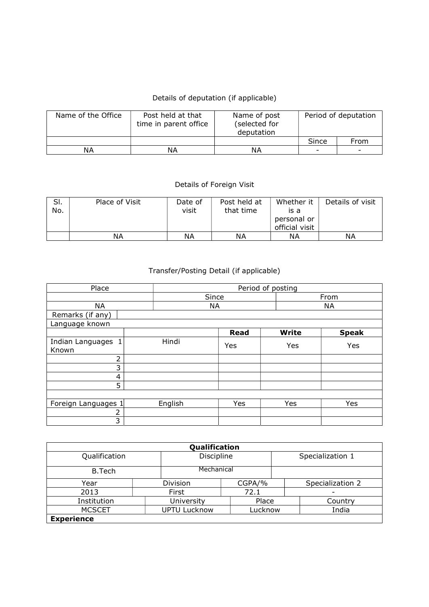## Details of deputation (if applicable)

| Name of the Office | Post held at that<br>time in parent office | Name of post<br>(selected for<br>deputation | Period of deputation     |                          |  |
|--------------------|--------------------------------------------|---------------------------------------------|--------------------------|--------------------------|--|
|                    |                                            |                                             | Since                    | From                     |  |
| ΝA                 | NΑ                                         | ΝA                                          | $\overline{\phantom{0}}$ | $\overline{\phantom{a}}$ |  |

## Details of Foreign Visit

| SI.<br>No. | Place of Visit | Date of<br>visit | Post held at<br>that time | Whether it<br>is a<br>personal or<br>official visit | Details of visit |
|------------|----------------|------------------|---------------------------|-----------------------------------------------------|------------------|
|            | ΝA             | NΑ               | ΝA                        | ΝA                                                  | ΝA               |

## Transfer/Posting Detail (if applicable)

| Place                       |       | Period of posting |       |             |  |              |              |  |
|-----------------------------|-------|-------------------|-------|-------------|--|--------------|--------------|--|
|                             |       |                   | Since |             |  | From         |              |  |
| <b>NA</b>                   |       | NA                |       |             |  | <b>NA</b>    |              |  |
| Remarks (if any)            |       |                   |       |             |  |              |              |  |
| Language known              |       |                   |       |             |  |              |              |  |
|                             |       |                   |       | <b>Read</b> |  | <b>Write</b> | <b>Speak</b> |  |
| Indian Languages 1<br>Known | Hindi |                   |       | Yes         |  | Yes          | Yes          |  |
| $\overline{2}$              |       |                   |       |             |  |              |              |  |
| 3                           |       |                   |       |             |  |              |              |  |
| 4                           |       |                   |       |             |  |              |              |  |
| 5                           |       |                   |       |             |  |              |              |  |
|                             |       |                   |       |             |  |              |              |  |
| Foreign Languages 1         |       | English           |       | Yes         |  | Yes          | Yes          |  |
| 2                           |       |                   |       |             |  |              |              |  |
| 3                           |       |                   |       |             |  |              |              |  |

| Qualification     |  |                     |         |                  |                  |  |  |  |  |  |  |
|-------------------|--|---------------------|---------|------------------|------------------|--|--|--|--|--|--|
| Qualification     |  | Discipline          |         | Specialization 1 |                  |  |  |  |  |  |  |
| <b>B.Tech</b>     |  | Mechanical          |         |                  |                  |  |  |  |  |  |  |
| Year              |  | Division            | CGPA/%  |                  | Specialization 2 |  |  |  |  |  |  |
| 2013              |  | First               | 72.1    |                  |                  |  |  |  |  |  |  |
| Institution       |  | University          | Place   |                  | Country          |  |  |  |  |  |  |
| <b>MCSCET</b>     |  | <b>UPTU Lucknow</b> | Lucknow |                  | India            |  |  |  |  |  |  |
| <b>Experience</b> |  |                     |         |                  |                  |  |  |  |  |  |  |